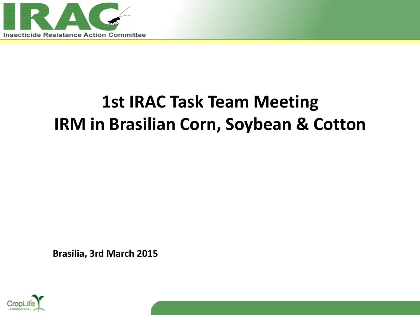

## **1st IRAC Task Team Meeting IRM in Brasilian Corn, Soybean & Cotton**

**Brasilia, 3rd March 2015**

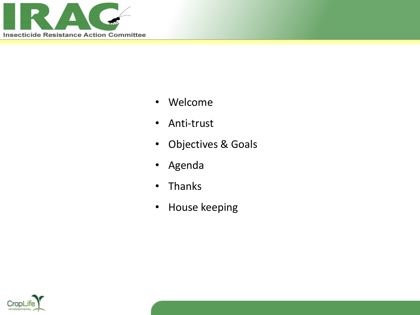

- Welcome
- Anti-trust
- Objectives & Goals
- Agenda
- Thanks
- House keeping

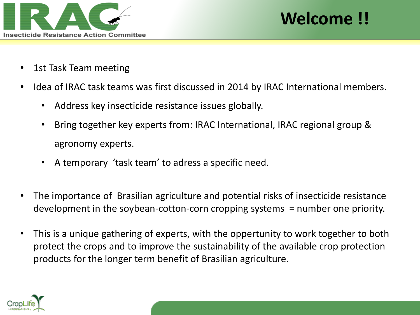

### **Welcome !!**

- 1st Task Team meeting
- Idea of IRAC task teams was first discussed in 2014 by IRAC International members.
	- Address key insecticide resistance issues globally.
	- Bring together key experts from: IRAC International, IRAC regional group & agronomy experts.
	- A temporary 'task team' to adress a specific need.
- The importance of Brasilian agriculture and potential risks of insecticide resistance development in the soybean-cotton-corn cropping systems = number one priority.
- This is a unique gathering of experts, with the oppertunity to work together to both protect the crops and to improve the sustainability of the available crop protection products for the longer term benefit of Brasilian agriculture.

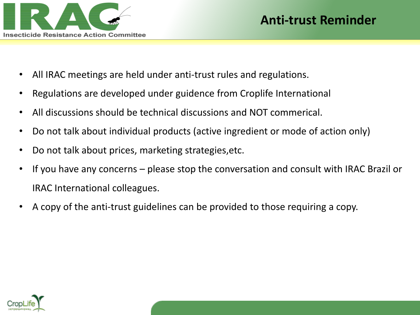

- All IRAC meetings are held under anti-trust rules and regulations.
- Regulations are developed under guidence from Croplife International
- All discussions should be technical discussions and NOT commerical.
- Do not talk about individual products (active ingredient or mode of action only)
- Do not talk about prices, marketing strategies,etc.
- If you have any concerns please stop the conversation and consult with IRAC Brazil or IRAC International colleagues.
- A copy of the anti-trust guidelines can be provided to those requiring a copy.

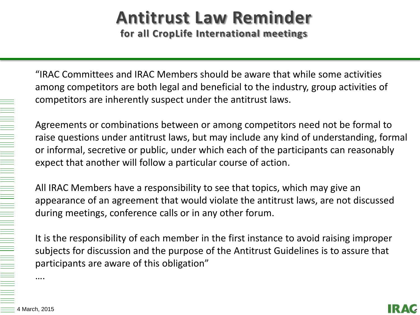# **Antitrust Law Reminder**

**for all CropLife International meetings**

"IRAC Committees and IRAC Members should be aware that while some activities among competitors are both legal and beneficial to the industry, group activities of competitors are inherently suspect under the antitrust laws.

Agreements or combinations between or among competitors need not be formal to raise questions under antitrust laws, but may include any kind of understanding, formal or informal, secretive or public, under which each of the participants can reasonably expect that another will follow a particular course of action.

All IRAC Members have a responsibility to see that topics, which may give an appearance of an agreement that would violate the antitrust laws, are not discussed during meetings, conference calls or in any other forum.

It is the responsibility of each member in the first instance to avoid raising improper subjects for discussion and the purpose of the Antitrust Guidelines is to assure that participants are aware of this obligation"

….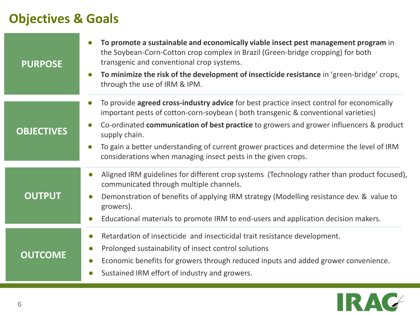#### **Objectives & Goals**

| <b>PURPOSE</b>    | To promote a sustainable and economically viable insect pest management program in<br>the Soybean-Corn-Cotton crop complex in Brazil (Green-bridge cropping) for both<br>transgenic and conventional crop systems.<br>To minimize the risk of the development of insecticide resistance in 'green-bridge' crops,<br>$\bullet$<br>through the use of IRM & IPM.                                                                                                        |
|-------------------|-----------------------------------------------------------------------------------------------------------------------------------------------------------------------------------------------------------------------------------------------------------------------------------------------------------------------------------------------------------------------------------------------------------------------------------------------------------------------|
| <b>OBJECTIVES</b> | To provide agreed cross-industry advice for best practice insect control for economically<br>important pests of cotton-corn-soybean (both transgenic & conventional varieties)<br>Co-ordinated communication of best practice to growers and grower influencers & product<br>$\bullet$<br>supply chain.<br>To gain a better understanding of current grower practices and determine the level of IRM<br>considerations when managing insect pests in the given crops. |
| <b>OUTPUT</b>     | Aligned IRM guidelines for different crop systems (Technology rather than product focused),<br>$\bullet$<br>communicated through multiple channels.<br>Demonstration of benefits of applying IRM strategy (Modelling resistance dev. & value to<br>$\bullet$<br>growers).<br>Educational materials to promote IRM to end-users and application decision makers.<br>$\bullet$                                                                                          |
| <b>OUTCOME</b>    | Retardation of insecticide and insecticidal trait resistance development.<br>$\bullet$<br>Prolonged sustainability of insect control solutions<br>$\bullet$<br>Economic benefits for growers through reduced inputs and added grower convenience.<br>$\bullet$<br>Sustained IRM effort of industry and growers.                                                                                                                                                       |

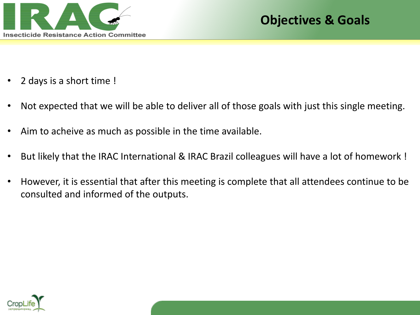

- 2 days is a short time !
- Not expected that we will be able to deliver all of those goals with just this single meeting.
- Aim to acheive as much as possible in the time available.
- But likely that the IRAC International & IRAC Brazil colleagues will have a lot of homework !
- However, it is essential that after this meeting is complete that all attendees continue to be consulted and informed of the outputs.

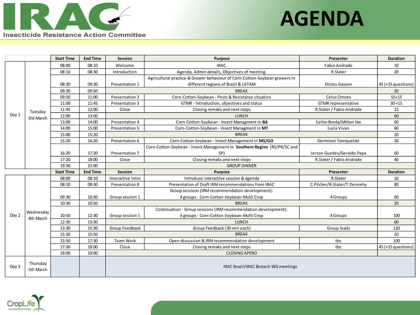

## **AGENDA**

|       |                        | <b>Start Time</b> | <b>End Time</b> | Session                              | <b>Purpose</b>                                                             | Presenter                    | <b>Duration</b>    |  |  |
|-------|------------------------|-------------------|-----------------|--------------------------------------|----------------------------------------------------------------------------|------------------------------|--------------------|--|--|
| Day 1 |                        | 08:00             | 08:10           | Welcome                              | IRAC.                                                                      | Fabio Andrade                | 10                 |  |  |
|       |                        | 08:10             | 08:30           | Introduction                         | Agenda, Admin details, Objectives of meeting.                              | R.Slater                     | 20                 |  |  |
|       | Tuesday<br>3rd March   |                   |                 |                                      | Agricultural practice & Grower behaviour of Corn-Cotton-Soybean growers in |                              |                    |  |  |
|       |                        | 08:30             | 09:30           | Presentation 1                       | different regions of Brazil & LATAM                                        | Dirceu Gassen                | 45 (+15 questions) |  |  |
|       |                        | 09:30             | 09:50           |                                      | <b>BREAK</b>                                                               |                              | 20                 |  |  |
|       |                        | 09:50             | 11:00           | Presentation 2                       | Corn-Cotton-Soybean - Pests & Resistance situation                         | Celso Omoto                  | $55+15$            |  |  |
|       |                        | 11:00             | 11:45           | Presentation 3                       | GTMR - Introduction, objectives and status                                 | <b>GTMR</b> representative   | $30 + 15$          |  |  |
|       |                        | 11:45             | 12:00           | Close                                | Closing remaks and next steps                                              | R.Slater / Fabio Andrade     | 15                 |  |  |
|       |                        | 12:00             | 13:00           | <b>LUNCH</b>                         |                                                                            |                              |                    |  |  |
|       |                        | 13:00             | 14:00           | Presentation 4                       | Corn-Cotton-Soybean - Insect Managment in BA                               | Celito Breda/Milton Ide      | 60                 |  |  |
|       |                        | 14:00             | 15:00           | Presentation 5                       | Corn-Cotton-Soybean - Insect Managment in MT                               | Lucia Vivan                  | 60                 |  |  |
|       |                        | 15:00             | 15:20           |                                      | <b>BREAK</b>                                                               |                              | 20                 |  |  |
|       |                        | 15:20             | 16:20           | Presentation 6                       | Corn-Cotton-Soybean - Insect Management in MS/GO                           | Germison Tomquelski          | 30                 |  |  |
|       |                        |                   |                 |                                      | Corn-Cotton-Soybean - Insect Management in Southern Region (RS/PR/SC and   |                              |                    |  |  |
|       |                        | 16:20             | 17:20           | Presentation 7                       | SP)                                                                        | Jerson Guedes/Geraldo Papa   | 60                 |  |  |
|       |                        | 17:20             | 18:00           | Close                                | Closing remaks and next steps                                              | R.Slater / Fabio Andrade     | 40                 |  |  |
|       |                        | 19:30             | 22:00           | <b>GROUP DINNER</b>                  |                                                                            |                              |                    |  |  |
|       |                        | <b>Start Time</b> | <b>End Time</b> | <b>Session</b>                       | Purpose                                                                    | Presenter                    | <b>Duration</b>    |  |  |
|       | Wednesday<br>4th March | 08:00             | 08:10           | Interactive Intro                    | Introduce interactive session & agenda                                     | R.Slater                     | 10                 |  |  |
|       |                        | 08:10             | 09:30           | Presentation 8                       | Presentation of Draft IRM recommendations from IRAC                        | C.Pilcher/R.Slater/T.Dennehy | 80                 |  |  |
|       |                        |                   |                 |                                      | Group sessions (IRM recommendation development):                           |                              |                    |  |  |
|       |                        | 09:30             | 10:30           | Group session 1                      | 4 groups - Corn-Cotton-Soybean-Multi Crop                                  | 4 Groups                     | 60                 |  |  |
|       |                        | 10:30             | 10:50           |                                      | <b>BREAK</b>                                                               |                              | 20                 |  |  |
|       |                        |                   |                 |                                      | Continuation - Group sessions (IRM recommendation development):            |                              |                    |  |  |
| Day 2 |                        | 10:50             | 12:30           | Group session 1                      | 4 groups - Corn-Cotton-Soybean-Multi Crop                                  | 4 Groups                     | 100                |  |  |
|       |                        | 12:30             | 13:30           |                                      | <b>LUNCH</b>                                                               |                              | 60                 |  |  |
|       |                        | 13:30             | 15:30           | Group Feedback                       | Group Feedback (30 min each)                                               | Group leads                  | 120                |  |  |
|       |                        | 15:30             | 15:50           |                                      | <b>BREAK</b>                                                               |                              | 20                 |  |  |
|       |                        | 15:50             | 17:30           | Team Work                            | Open discussion & IRM recommendation development                           | tbc                          | 100                |  |  |
|       |                        | 17:30             | 18:00           | Close                                | Closing remaks and next steps                                              | tbc                          | 45 (+15 questions) |  |  |
|       |                        | 18:00             | 19:00           |                                      | <b>CLOSING APERO</b>                                                       |                              |                    |  |  |
| Day 3 | Thursday<br>5th March  |                   |                 | IRAC Brazil/IRAC Biotech WG meetings |                                                                            |                              |                    |  |  |

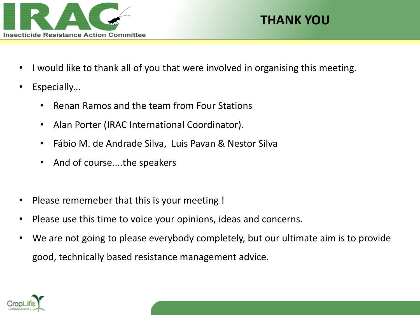

#### **THANK YOU**

- I would like to thank all of you that were involved in organising this meeting.
- Especially...
	- Renan Ramos and the team from Four Stations
	- Alan Porter (IRAC International Coordinator).
	- Fábio M. de Andrade Silva, Luis Pavan & Nestor Silva
	- And of course....the speakers
- Please rememeber that this is your meeting !
- Please use this time to voice your opinions, ideas and concerns.
- We are not going to please everybody completely, but our ultimate aim is to provide good, technically based resistance management advice.